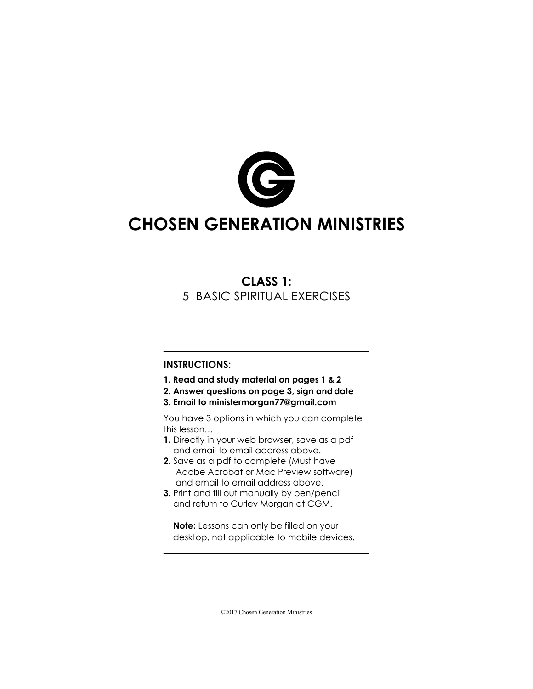

# **CHOSEN GENERATION MINISTRIES**

# **CLASS 1:** 5 BASIC SPIRITUAL EXERCISES

#### **INSTRUCTIONS:**

- **1. Read and study material on pages 1 & 2**
- **2. Answer questions on page 3, sign anddate**
- **3. Email to ministermorgan77@gmail.com**

You have 3 options in which you can complete this lesson…

- **1.** Directly in your web browser, save as a pdf and email to email address above.
- **2.** Save as a pdf to complete (Must have Adobe Acrobat or Mac Preview software) and email to email address above.
- **3.** Print and fill out manually by pen/pencil and return to Curley Morgan at CGM.

**Note:** Lessons can only be filled on your desktop, not applicable to mobile devices.

©2017 Chosen Generation Ministries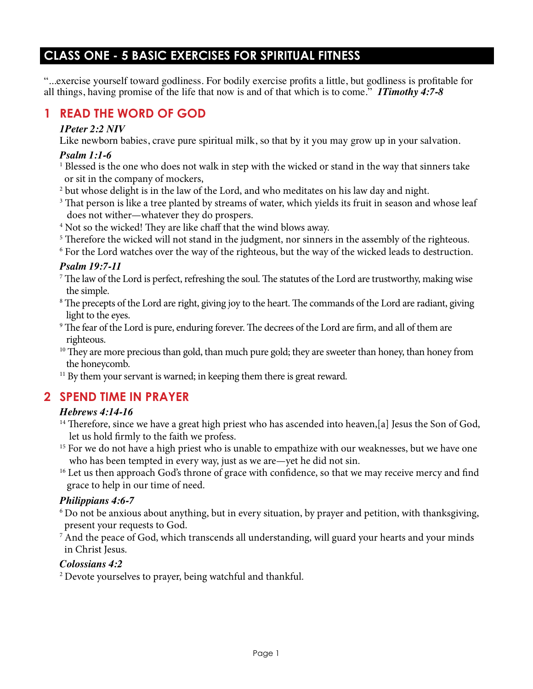## **CLASS ONE - 5 BASIC EXERCISES FOR SPIRITUAL FITNESS**

"...exercise yourself toward godliness. For bodily exercise profits a little, but godliness is profitable for all things, having promise of the life that now is and of that which is to come." *1Timothy 4:7-8*

### **1 READ THE WORD OF GOD**

#### *1Peter 2:2 NIV*

Like newborn babies, crave pure spiritual milk, so that by it you may grow up in your salvation.

#### *Psalm 1:1-6*

- <sup>1</sup> Blessed is the one who does not walk in step with the wicked or stand in the way that sinners take or sit in the company of mockers,
- $^{\rm 2}$  but whose delight is in the law of the Lord, and who meditates on his law day and night.
- $^{\rm 3}$  That person is like a tree planted by streams of water, which yields its fruit in season and whose leaf does not wither—whatever they do prospers.
- 4 Not so the wicked! They are like chaff that the wind blows away.
- <sup>5</sup> Therefore the wicked will not stand in the judgment, nor sinners in the assembly of the righteous.
- 6 For the Lord watches over the way of the righteous, but the way of the wicked leads to destruction.

#### *Psalm 19:7-11*

- $^7$  The law of the Lord is perfect, refreshing the soul. The statutes of the Lord are trustworthy, making wise the simple.
- 8 The precepts of the Lord are right, giving joy to the heart. The commands of the Lord are radiant, giving light to the eyes.
- 9 The fear of the Lord is pure, enduring forever. The decrees of the Lord are firm, and all of them are righteous.
- <sup>10</sup> They are more precious than gold, than much pure gold; they are sweeter than honey, than honey from the honeycomb.
- <sup>11</sup> By them your servant is warned; in keeping them there is great reward.

# **2 SPEND TIME IN PRAYER**

### *Hebrews 4:14-16*

- <sup>14</sup> Therefore, since we have a great high priest who has ascended into heaven, [a] Jesus the Son of God, let us hold firmly to the faith we profess.
- <sup>15</sup> For we do not have a high priest who is unable to empathize with our weaknesses, but we have one who has been tempted in every way, just as we are—yet he did not sin.
- <sup>16</sup> Let us then approach God's throne of grace with confidence, so that we may receive mercy and find grace to help in our time of need.

### *Philippians 4:6-7*

- 6 Do not be anxious about anything, but in every situation, by prayer and petition, with thanksgiving, present your requests to God.
- $^7$  And the peace of God, which transcends all understanding, will guard your hearts and your minds in Christ Jesus.

### *Colossians 4:2*

2 Devote yourselves to prayer, being watchful and thankful.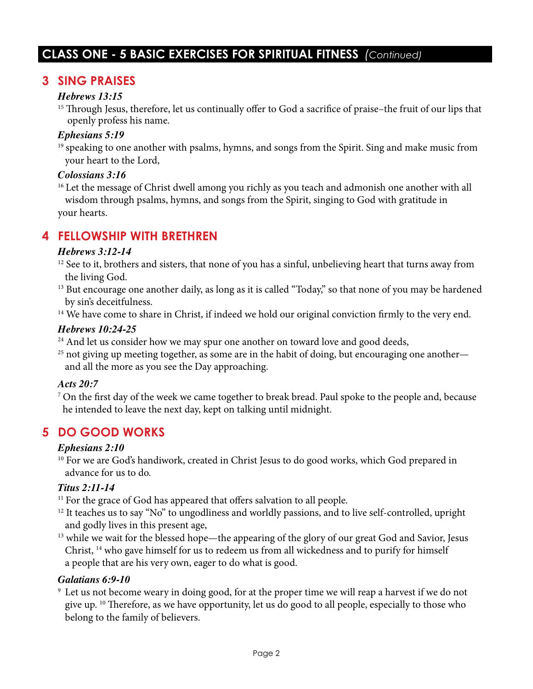# **CLASS ONE - 5 BASIC EXERCISES FOR SPIRITUAL FITNESS** *(Continued)*

### **3 SING PRAISES**

#### *Hebrews 13:15*

<sup>15</sup> Through Jesus, therefore, let us continually offer to God a sacrifice of praise–the fruit of our lips that openly profess his name.

#### *Ephesians 5:19*

<sup>19</sup> speaking to one another with psalms, hymns, and songs from the Spirit. Sing and make music from your heart to the Lord,

#### *Colossians 3:16*

<sup>16</sup> Let the message of Christ dwell among you richly as you teach and admonish one another with all wisdom through psalms, hymns, and songs from the Spirit, singing to God with gratitude in your hearts.

### **4 FELLOWSHIP WITH BRETHREN**

#### *Hebrews 3:12-14*

- <sup>12</sup> See to it, brothers and sisters, that none of you has a sinful, unbelieving heart that turns away from the living God.
- <sup>13</sup> But encourage one another daily, as long as it is called "Today," so that none of you may be hardened by sin's deceitfulness.

<sup>14</sup> We have come to share in Christ, if indeed we hold our original conviction firmly to the very end.

#### *Hebrews 10:24-25*

<sup>24</sup> And let us consider how we may spur one another on toward love and good deeds,

 $25$  not giving up meeting together, as some are in the habit of doing, but encouraging one another and all the more as you see the Day approaching.

#### *Acts 20:7*

<sup>7</sup> On the first day of the week we came together to break bread. Paul spoke to the people and, because he intended to leave the next day, kept on talking until midnight.

### **5 DO GOOD WORKS**

#### *Ephesians 2:10*

<sup>10</sup> For we are God's handiwork, created in Christ Jesus to do good works, which God prepared in advance for us to do.

#### *Titus 2:11-14*

<sup>11</sup> For the grace of God has appeared that offers salvation to all people.

- <sup>12</sup> It teaches us to say "No" to ungodliness and worldly passions, and to live self-controlled, upright and godly lives in this present age,
- <sup>13</sup> while we wait for the blessed hope—the appearing of the glory of our great God and Savior, Jesus Christ, 14 who gave himself for us to redeem us from all wickedness and to purify for himself a people that are his very own, eager to do what is good.

#### *Galatians 6:9-10*

9 Let us not become weary in doing good, for at the proper time we will reap a harvest if we do not give up. 10 Therefore, as we have opportunity, let us do good to all people, especially to those who belong to the family of believers.